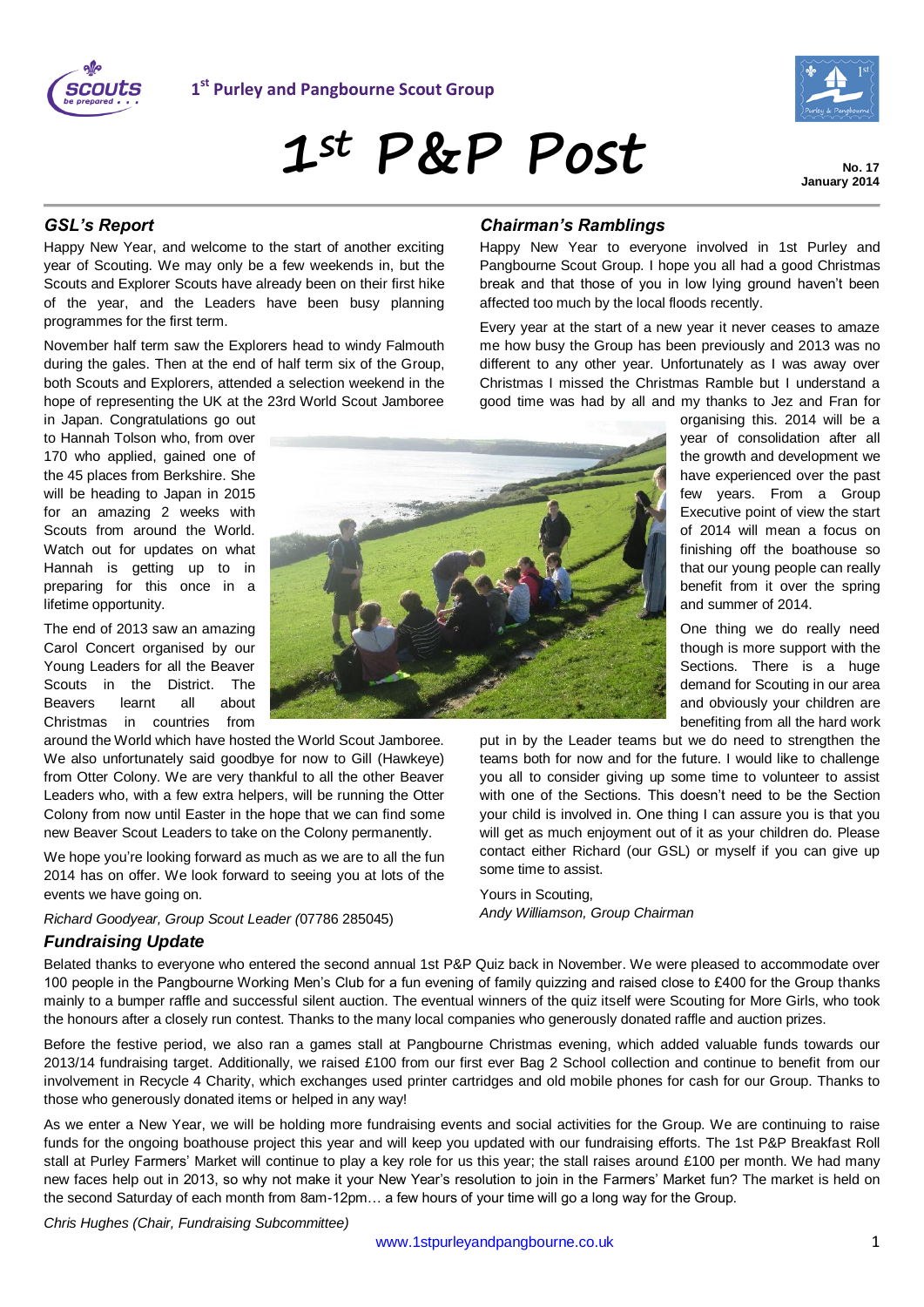



**1st P&P Post**

**No. 17 January 2014**

## *GSL's Report*

Happy New Year, and welcome to the start of another exciting year of Scouting. We may only be a few weekends in, but the Scouts and Explorer Scouts have already been on their first hike of the year, and the Leaders have been busy planning programmes for the first term.

November half term saw the Explorers head to windy Falmouth during the gales. Then at the end of half term six of the Group, both Scouts and Explorers, attended a selection weekend in the hope of representing the UK at the 23rd World Scout Jamboree

in Japan. Congratulations go out to Hannah Tolson who, from over 170 who applied, gained one of the 45 places from Berkshire. She will be heading to Japan in 2015 for an amazing 2 weeks with Scouts from around the World. Watch out for updates on what Hannah is getting up to in preparing for this once in a lifetime opportunity.

The end of 2013 saw an amazing Carol Concert organised by our Young Leaders for all the Beaver Scouts in the District. The Beavers learnt all about Christmas in countries from

around the World which have hosted the World Scout Jamboree. We also unfortunately said goodbye for now to Gill (Hawkeye) from Otter Colony. We are very thankful to all the other Beaver Leaders who, with a few extra helpers, will be running the Otter Colony from now until Easter in the hope that we can find some new Beaver Scout Leaders to take on the Colony permanently.

We hope you're looking forward as much as we are to all the fun 2014 has on offer. We look forward to seeing you at lots of the events we have going on.

*Richard Goodyear, Group Scout Leader (*07786 285045)

## *Fundraising Update*

Belated thanks to everyone who entered the second annual 1st P&P Quiz back in November. We were pleased to accommodate over 100 people in the Pangbourne Working Men's Club for a fun evening of family quizzing and raised close to £400 for the Group thanks mainly to a bumper raffle and successful silent auction. The eventual winners of the quiz itself were Scouting for More Girls, who took the honours after a closely run contest. Thanks to the many local companies who generously donated raffle and auction prizes.

Before the festive period, we also ran a games stall at Pangbourne Christmas evening, which added valuable funds towards our 2013/14 fundraising target. Additionally, we raised £100 from our first ever Bag 2 School collection and continue to benefit from our involvement in Recycle 4 Charity, which exchanges used printer cartridges and old mobile phones for cash for our Group. Thanks to those who generously donated items or helped in any way!

As we enter a New Year, we will be holding more fundraising events and social activities for the Group. We are continuing to raise funds for the ongoing boathouse project this year and will keep you updated with our fundraising efforts. The 1st P&P Breakfast Roll stall at Purley Farmers' Market will continue to play a key role for us this year; the stall raises around £100 per month. We had many new faces help out in 2013, so why not make it your New Year's resolution to join in the Farmers' Market fun? The market is held on the second Saturday of each month from 8am-12pm… a few hours of your time will go a long way for the Group.

*Chris Hughes (Chair, Fundraising Subcommittee)*



#### *Chairman's Ramblings*

Happy New Year to everyone involved in 1st Purley and Pangbourne Scout Group. I hope you all had a good Christmas break and that those of you in low lying ground haven't been affected too much by the local floods recently.

Every year at the start of a new year it never ceases to amaze me how busy the Group has been previously and 2013 was no different to any other year. Unfortunately as I was away over Christmas I missed the Christmas Ramble but I understand a good time was had by all and my thanks to Jez and Fran for

> organising this. 2014 will be a year of consolidation after all the growth and development we have experienced over the past few years. From a Group Executive point of view the start of 2014 will mean a focus on finishing off the boathouse so that our young people can really benefit from it over the spring and summer of 2014.

> One thing we do really need though is more support with the Sections. There is a huge demand for Scouting in our area and obviously your children are benefiting from all the hard work

put in by the Leader teams but we do need to strengthen the teams both for now and for the future. I would like to challenge you all to consider giving up some time to volunteer to assist with one of the Sections. This doesn't need to be the Section your child is involved in. One thing I can assure you is that you will get as much enjoyment out of it as your children do. Please contact either Richard (our GSL) or myself if you can give up some time to assist.

Yours in Scouting, *Andy Williamson, Group Chairman*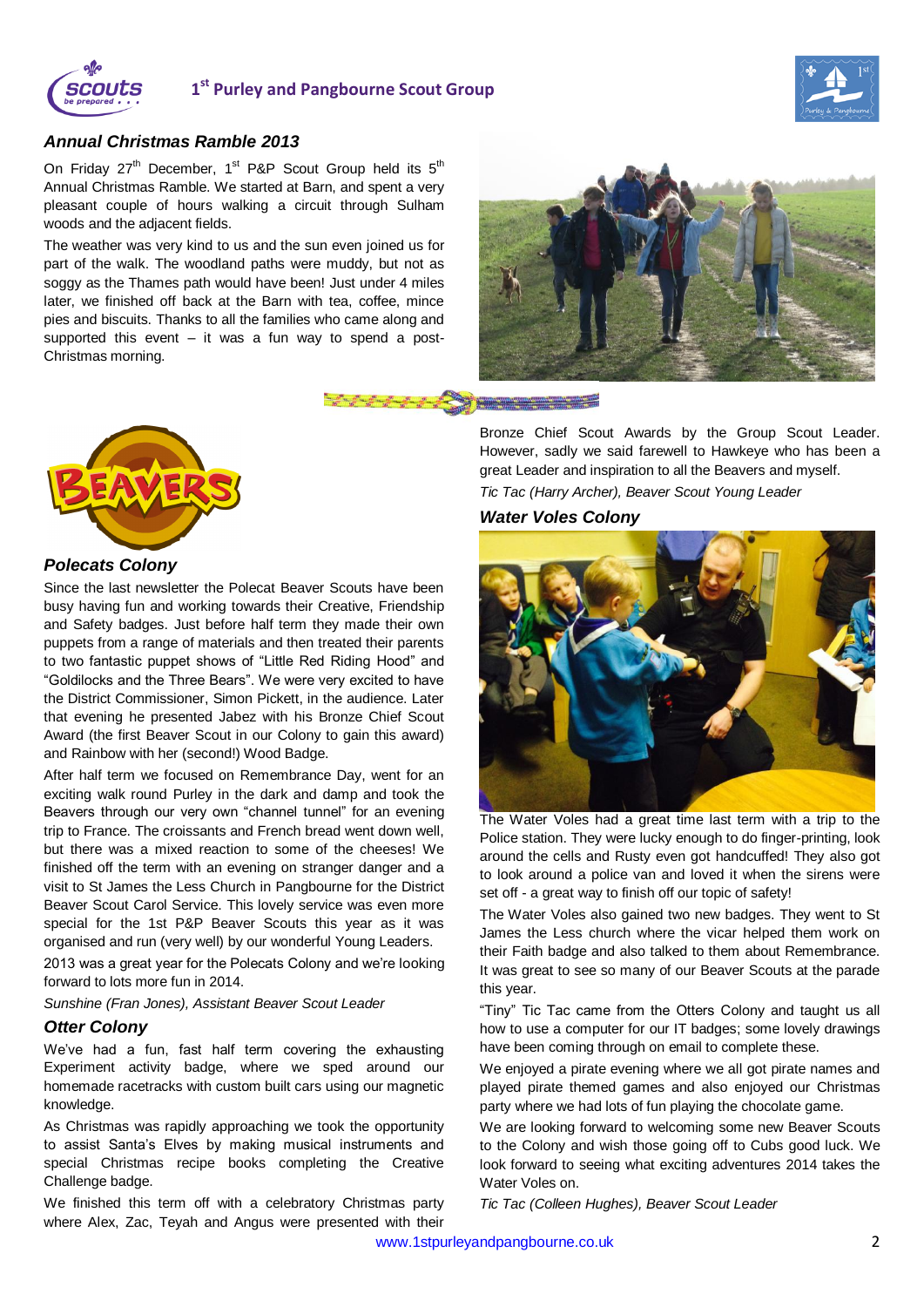

# **1 st Purley and Pangbourne Scout Group**



#### *Annual Christmas Ramble 2013*

On Friday 27<sup>th</sup> December, 1<sup>st</sup> P&P Scout Group held its 5<sup>th</sup> Annual Christmas Ramble. We started at Barn, and spent a very pleasant couple of hours walking a circuit through Sulham woods and the adjacent fields.

The weather was very kind to us and the sun even joined us for part of the walk. The woodland paths were muddy, but not as soggy as the Thames path would have been! Just under 4 miles later, we finished off back at the Barn with tea, coffee, mince pies and biscuits. Thanks to all the families who came along and supported this event – it was a fun way to spend a post-Christmas morning.



Bronze Chief Scout Awards by the Group Scout Leader. However, sadly we said farewell to Hawkeye who has been a great Leader and inspiration to all the Beavers and myself.

*Tic Tac (Harry Archer), Beaver Scout Young Leader*

## *Water Voles Colony*



The Water Voles had a great time last term with a trip to the Police station. They were lucky enough to do finger-printing, look around the cells and Rusty even got handcuffed! They also got to look around a police van and loved it when the sirens were set off - a great way to finish off our topic of safety!

The Water Voles also gained two new badges. They went to St James the Less church where the vicar helped them work on their Faith badge and also talked to them about Remembrance. It was great to see so many of our Beaver Scouts at the parade this year.

"Tiny" Tic Tac came from the Otters Colony and taught us all how to use a computer for our IT badges; some lovely drawings have been coming through on email to complete these.

We enjoyed a pirate evening where we all got pirate names and played pirate themed games and also enjoyed our Christmas party where we had lots of fun playing the chocolate game.

We are looking forward to welcoming some new Beaver Scouts to the Colony and wish those going off to Cubs good luck. We look forward to seeing what exciting adventures 2014 takes the Water Voles on.

*Tic Tac (Colleen Hughes), Beaver Scout Leader*



#### *Polecats Colony*

Since the last newsletter the Polecat Beaver Scouts have been busy having fun and working towards their Creative, Friendship and Safety badges. Just before half term they made their own puppets from a range of materials and then treated their parents to two fantastic puppet shows of "Little Red Riding Hood" and "Goldilocks and the Three Bears". We were very excited to have the District Commissioner, Simon Pickett, in the audience. Later that evening he presented Jabez with his Bronze Chief Scout Award (the first Beaver Scout in our Colony to gain this award) and Rainbow with her (second!) Wood Badge.

After half term we focused on Remembrance Day, went for an exciting walk round Purley in the dark and damp and took the Beavers through our very own "channel tunnel" for an evening trip to France. The croissants and French bread went down well, but there was a mixed reaction to some of the cheeses! We finished off the term with an evening on stranger danger and a visit to St James the Less Church in Pangbourne for the District Beaver Scout Carol Service. This lovely service was even more special for the 1st P&P Beaver Scouts this year as it was organised and run (very well) by our wonderful Young Leaders.

2013 was a great year for the Polecats Colony and we're looking forward to lots more fun in 2014.

*Sunshine (Fran Jones), Assistant Beaver Scout Leader*

#### *Otter Colony*

We've had a fun, fast half term covering the exhausting Experiment activity badge, where we sped around our homemade racetracks with custom built cars using our magnetic knowledge.

As Christmas was rapidly approaching we took the opportunity to assist Santa's Elves by making musical instruments and special Christmas recipe books completing the Creative Challenge badge.

We finished this term off with a celebratory Christmas party where Alex, Zac, Teyah and Angus were presented with their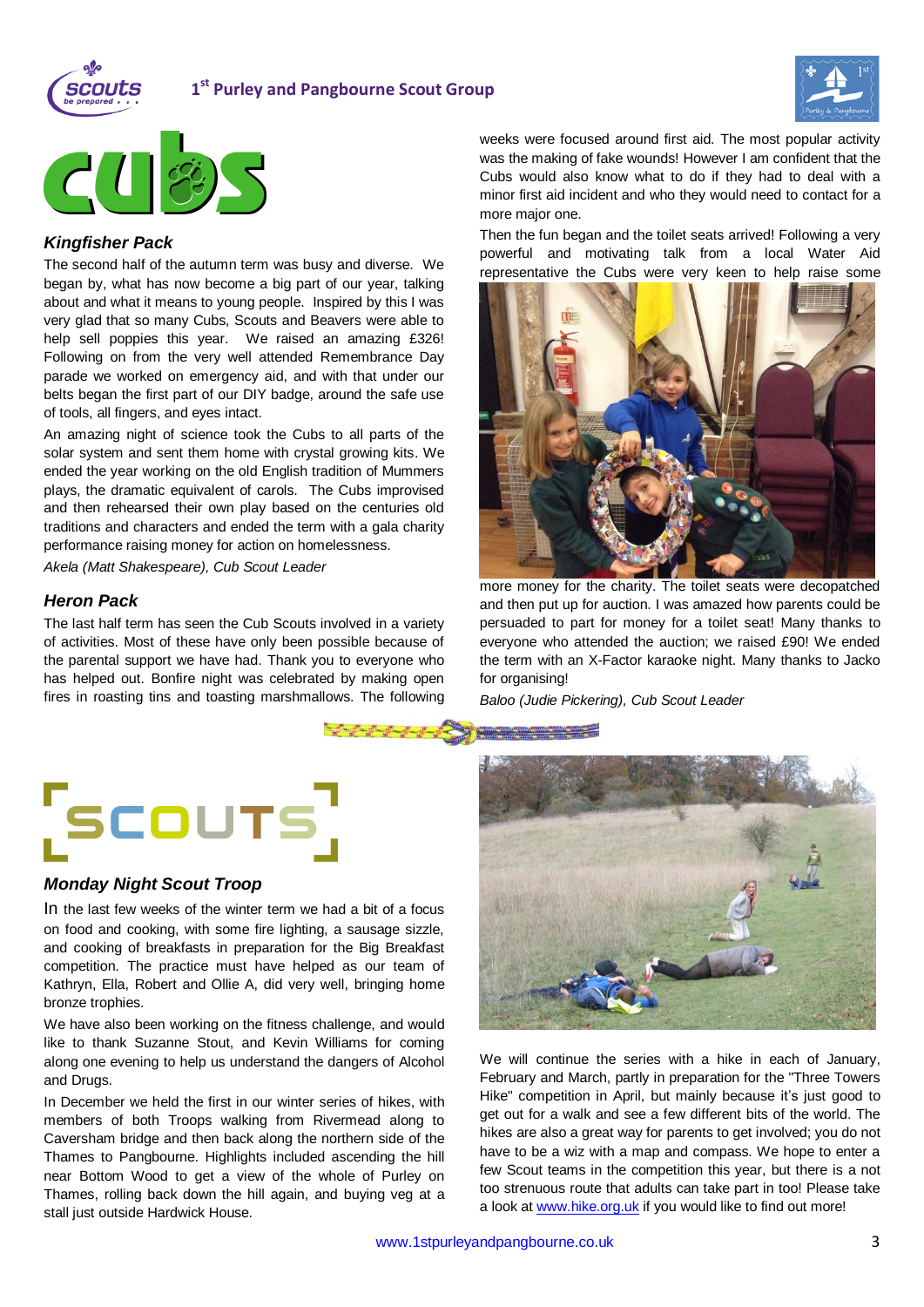

# **1 st Purley and Pangbourne Scout Group**





## *Kingfisher Pack*

The second half of the autumn term was busy and diverse. We began by, what has now become a big part of our year, talking about and what it means to young people. Inspired by this I was very glad that so many Cubs, Scouts and Beavers were able to help sell poppies this year. We raised an amazing £326! Following on from the very well attended Remembrance Day parade we worked on emergency aid, and with that under our belts began the first part of our DIY badge, around the safe use of tools, all fingers, and eyes intact.

An amazing night of science took the Cubs to all parts of the solar system and sent them home with crystal growing kits. We ended the year working on the old English tradition of Mummers plays, the dramatic equivalent of carols. The Cubs improvised and then rehearsed their own play based on the centuries old traditions and characters and ended the term with a gala charity performance raising money for action on homelessness.

*Akela (Matt Shakespeare), Cub Scout Leader*

## *Heron Pack*

The last half term has seen the Cub Scouts involved in a variety of activities. Most of these have only been possible because of the parental support we have had. Thank you to everyone who has helped out. Bonfire night was celebrated by making open fires in roasting tins and toasting marshmallows. The following

weeks were focused around first aid. The most popular activity was the making of fake wounds! However I am confident that the Cubs would also know what to do if they had to deal with a minor first aid incident and who they would need to contact for a more major one.

Then the fun began and the toilet seats arrived! Following a very powerful and motivating talk from a local Water Aid representative the Cubs were very keen to help raise some



more money for the charity. The toilet seats were decopatched and then put up for auction. I was amazed how parents could be persuaded to part for money for a toilet seat! Many thanks to everyone who attended the auction; we raised £90! We ended the term with an X-Factor karaoke night. Many thanks to Jacko for organising!

*Baloo (Judie Pickering), Cub Scout Leader*



#### *Monday Night Scout Troop*

In the last few weeks of the winter term we had a bit of a focus on food and cooking, with some fire lighting, a sausage sizzle, and cooking of breakfasts in preparation for the Big Breakfast competition. The practice must have helped as our team of Kathryn, Ella, Robert and Ollie A, did very well, bringing home bronze trophies.

We have also been working on the fitness challenge, and would like to thank Suzanne Stout, and Kevin Williams for coming along one evening to help us understand the dangers of Alcohol and Drugs.

In December we held the first in our winter series of hikes, with members of both Troops walking from Rivermead along to Caversham bridge and then back along the northern side of the Thames to Pangbourne. Highlights included ascending the hill near Bottom Wood to get a view of the whole of Purley on Thames, rolling back down the hill again, and buying veg at a stall just outside Hardwick House.



We will continue the series with a hike in each of January, February and March, partly in preparation for the "Three Towers Hike" competition in April, but mainly because it's just good to get out for a walk and see a few different bits of the world. The hikes are also a great way for parents to get involved; you do not have to be a wiz with a map and compass. We hope to enter a few Scout teams in the competition this year, but there is a not too strenuous route that adults can take part in too! Please take a look at [www.hike.org.uk](http://www.hike.org.uk/) if you would like to find out more!